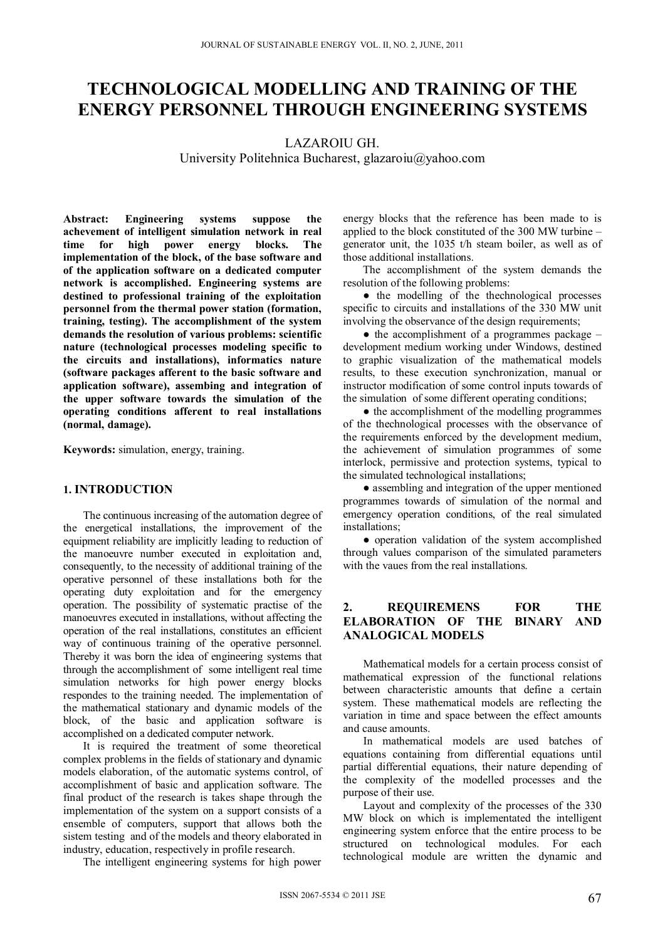# **TECHNOLOGICAL MODELLING AND TRAINING OF THE ENERGY PERSONNEL THROUGH ENGINEERING SYSTEMS**

LAZAROIU GH.

University Politehnica Bucharest, glazaroiu@yahoo.com

**Abstract: Engineering systems suppose the achevement of intelligent simulation network in real time for high power energy blocks. The implementation of the block, of the base software and of the application software on a dedicated computer network is accomplished. Engineering systems are destined to professional training of the exploitation personnel from the thermal power station (formation, training, testing). The accomplishment of the system demands the resolution of various problems: scientific nature (technological processes modeling specific to the circuits and installations), informatics nature (software packages afferent to the basic software and application software), assembing and integration of the upper software towards the simulation of the operating conditions afferent to real installations (normal, damage).** 

**Keywords:** simulation, energy, training.

#### **1. INTRODUCTION**

The continuous increasing of the automation degree of the energetical installations, the improvement of the equipment reliability are implicitly leading to reduction of the manoeuvre number executed in exploitation and, consequently, to the necessity of additional training of the operative personnel of these installations both for the operating duty exploitation and for the emergency operation. The possibility of systematic practise of the manoeuvres executed in installations, without affecting the operation of the real installations, constitutes an efficient way of continuous training of the operative personnel. Thereby it was born the idea of engineering systems that through the accomplishment of some intelligent real time simulation networks for high power energy blocks respondes to the training needed. The implementation of the mathematical stationary and dynamic models of the block, of the basic and application software is accomplished on a dedicated computer network.

It is required the treatment of some theoretical complex problems in the fields of stationary and dynamic models elaboration, of the automatic systems control, of accomplishment of basic and application software. The final product of the research is takes shape through the implementation of the system on a support consists of a ensemble of computers, support that allows both the sistem testing and of the models and theory elaborated in industry, education, respectively in profile research.

The intelligent engineering systems for high power

energy blocks that the reference has been made to is applied to the block constituted of the 300 MW turbine – generator unit, the 1035 t/h steam boiler, as well as of those additional installations.

The accomplishment of the system demands the resolution of the following problems:

● the modelling of the thechnological processes specific to circuits and installations of the 330 MW unit involving the observance of the design requirements;

• the accomplishment of a programmes package – development medium working under Windows, destined to graphic visualization of the mathematical models results, to these execution synchronization, manual or instructor modification of some control inputs towards of the simulation of some different operating conditions;

• the accomplishment of the modelling programmes of the thechnological processes with the observance of the requirements enforced by the development medium, the achievement of simulation programmes of some interlock, permissive and protection systems, typical to the simulated technological installations;

• assembling and integration of the upper mentioned programmes towards of simulation of the normal and emergency operation conditions, of the real simulated installations;

• operation validation of the system accomplished through values comparison of the simulated parameters with the vaues from the real installations.

# **2. REQUIREMENS FOR THE ELABORATION OF THE BINARY AND ANALOGICAL MODELS**

Mathematical models for a certain process consist of mathematical expression of the functional relations between characteristic amounts that define a certain system. These mathematical models are reflecting the variation in time and space between the effect amounts and cause amounts.

In mathematical models are used batches of equations containing from differential equations until partial differential equations, their nature depending of the complexity of the modelled processes and the purpose of their use.

Layout and complexity of the processes of the 330 MW block on which is implementated the intelligent engineering system enforce that the entire process to be structured on technological modules. For each technological module are written the dynamic and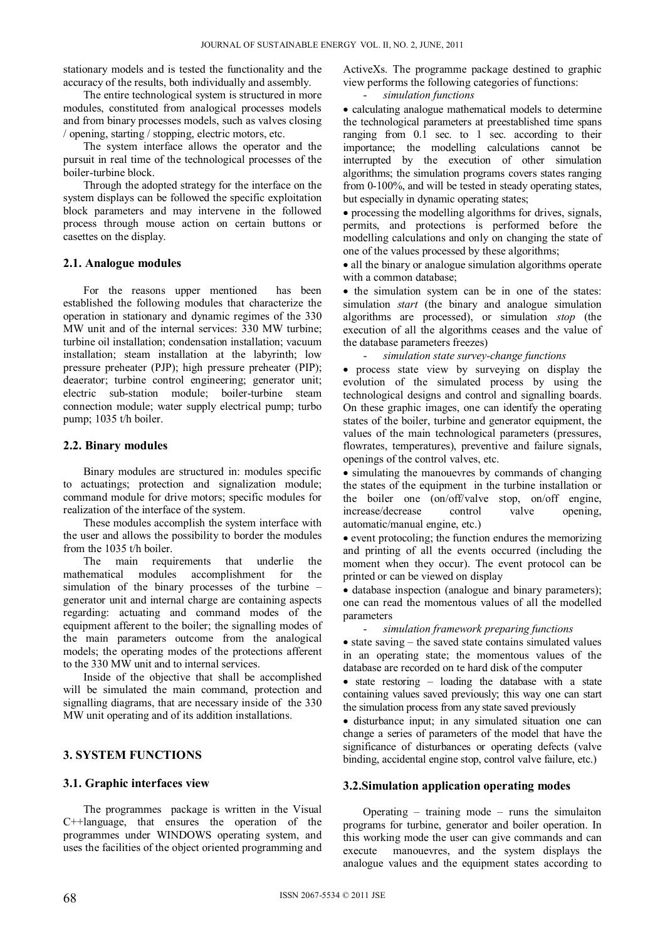stationary models and is tested the functionality and the accuracy of the results, both individually and assembly.

The entire technological system is structured in more modules, constituted from analogical processes models and from binary processes models, such as valves closing / opening, starting / stopping, electric motors, etc.

The system interface allows the operator and the pursuit in real time of the technological processes of the boiler-turbine block.

Through the adopted strategy for the interface on the system displays can be followed the specific exploitation block parameters and may intervene in the followed process through mouse action on certain buttons or casettes on the display.

## **2.1. Analogue modules**

For the reasons upper mentioned has been established the following modules that characterize the operation in stationary and dynamic regimes of the 330 MW unit and of the internal services: 330 MW turbine; turbine oil installation; condensation installation; vacuum installation; steam installation at the labyrinth; low pressure preheater (PJP); high pressure preheater (PIP); deaerator; turbine control engineering; generator unit; electric sub-station module; boiler-turbine steam connection module; water supply electrical pump; turbo pump; 1035 t/h boiler.

## **2.2. Binary modules**

Binary modules are structured in: modules specific to actuatings; protection and signalization module; command module for drive motors; specific modules for realization of the interface of the system.

These modules accomplish the system interface with the user and allows the possibility to border the modules from the 1035 t/h boiler.

The main requirements that underlie the mathematical modules accomplishment for the simulation of the binary processes of the turbine – generator unit and internal charge are containing aspects regarding: actuating and command modes of the equipment afferent to the boiler; the signalling modes of the main parameters outcome from the analogical models; the operating modes of the protections afferent to the 330 MW unit and to internal services.

Inside of the objective that shall be accomplished will be simulated the main command, protection and signalling diagrams, that are necessary inside of the 330 MW unit operating and of its addition installations.

# **3. SYSTEM FUNCTIONS**

# **3.1. Graphic interfaces view**

The programmes package is written in the Visual C++language, that ensures the operation of the programmes under WINDOWS operating system, and uses the facilities of the object oriented programming and ActiveXs. The programme package destined to graphic view performs the following categories of functions:

- *simulation functions* 

• calculating analogue mathematical models to determine the technological parameters at preestablished time spans ranging from 0.1 sec. to 1 sec. according to their importance; the modelling calculations cannot be interrupted by the execution of other simulation algorithms; the simulation programs covers states ranging from 0-100%, and will be tested in steady operating states, but especially in dynamic operating states;

 processing the modelling algorithms for drives, signals, permits, and protections is performed before the modelling calculations and only on changing the state of one of the values processed by these algorithms;

• all the binary or analogue simulation algorithms operate with a common database;

• the simulation system can be in one of the states: simulation *start* (the binary and analogue simulation algorithms are processed), or simulation *stop* (the execution of all the algorithms ceases and the value of the database parameters freezes)

- *simulation state survey-change functions* 

 process state view by surveying on display the evolution of the simulated process by using the technological designs and control and signalling boards. On these graphic images, one can identify the operating states of the boiler, turbine and generator equipment, the values of the main technological parameters (pressures, flowrates, temperatures), preventive and failure signals, openings of the control valves, etc.

• simulating the manouevres by commands of changing the states of the equipment in the turbine installation or the boiler one (on/off/valve stop, on/off engine, increase/decrease control valve opening, automatic/manual engine, etc.)

 event protocoling; the function endures the memorizing and printing of all the events occurred (including the moment when they occur). The event protocol can be printed or can be viewed on display

• database inspection (analogue and binary parameters); one can read the momentous values of all the modelled parameters

#### - *simulation framework preparing functions*

 $\bullet$  state saving – the saved state contains simulated values in an operating state; the momentous values of the database are recorded on te hard disk of the computer

• state restoring – loading the database with a state containing values saved previously; this way one can start the simulation process from any state saved previously

• disturbance input; in any simulated situation one can change a series of parameters of the model that have the significance of disturbances or operating defects (valve binding, accidental engine stop, control valve failure, etc.)

## **3.2.Simulation application operating modes**

Operating – training mode – runs the simulaiton programs for turbine, generator and boiler operation. In this working mode the user can give commands and can execute manouevres, and the system displays the analogue values and the equipment states according to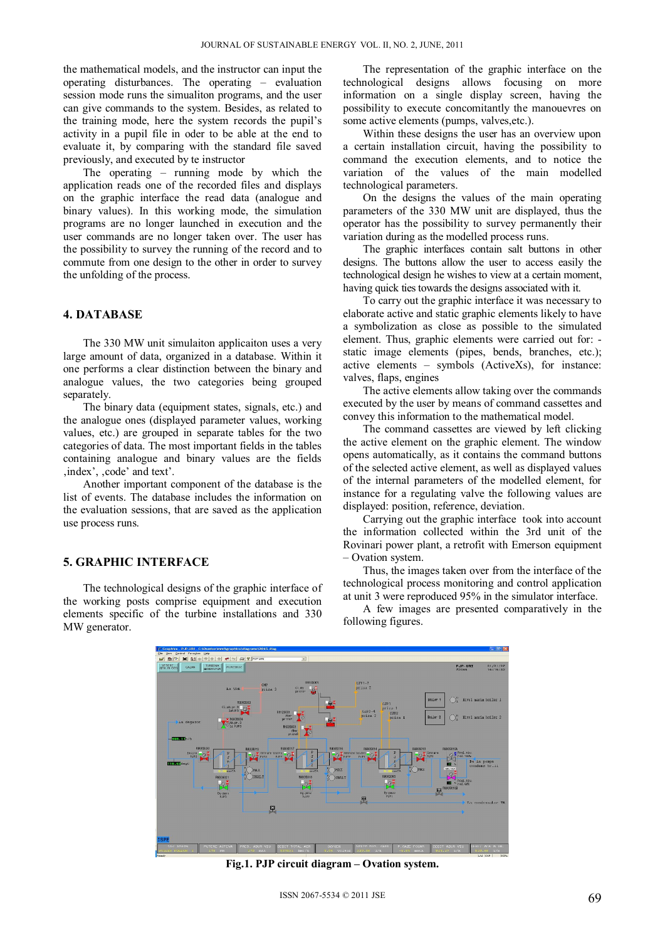the mathematical models, and the instructor can input the operating disturbances. The operating – evaluation session mode runs the simualiton programs, and the user can give commands to the system. Besides, as related to the training mode, here the system records the pupil's activity in a pupil file in oder to be able at the end to evaluate it, by comparing with the standard file saved previously, and executed by te instructor

The operating – running mode by which the application reads one of the recorded files and displays on the graphic interface the read data (analogue and binary values). In this working mode, the simulation programs are no longer launched in execution and the user commands are no longer taken over. The user has the possibility to survey the running of the record and to commute from one design to the other in order to survey the unfolding of the process.

## **4. DATABASE**

The 330 MW unit simulaiton applicaiton uses a very large amount of data, organized in a database. Within it one performs a clear distinction between the binary and analogue values, the two categories being grouped separately.

The binary data (equipment states, signals, etc.) and the analogue ones (displayed parameter values, working values, etc.) are grouped in separate tables for the two categories of data. The most important fields in the tables containing analogue and binary values are the fields , index', , code' and text'.

Another important component of the database is the list of events. The database includes the information on the evaluation sessions, that are saved as the application use process runs.

## **5. GRAPHIC INTERFACE**

The technological designs of the graphic interface of the working posts comprise equipment and execution elements specific of the turbine installations and 330 MW generator.

The representation of the graphic interface on the technological designs allows focusing on more information on a single display screen, having the possibility to execute concomitantly the manouevres on some active elements (pumps, valves,etc.).

Within these designs the user has an overview upon a certain installation circuit, having the possibility to command the execution elements, and to notice the variation of the values of the main modelled technological parameters.

On the designs the values of the main operating parameters of the 330 MW unit are displayed, thus the operator has the possibility to survey permanently their variation during as the modelled process runs.

The graphic interfaces contain salt buttons in other designs. The buttons allow the user to access easily the technological design he wishes to view at a certain moment, having quick ties towards the designs associated with it.

To carry out the graphic interface it was necessary to elaborate active and static graphic elements likely to have a symbolization as close as possible to the simulated element. Thus, graphic elements were carried out for: static image elements (pipes, bends, branches, etc.); active elements – symbols (ActiveXs), for instance: valves, flaps, engines

The active elements allow taking over the commands executed by the user by means of command cassettes and convey this information to the mathematical model.

The command cassettes are viewed by left clicking the active element on the graphic element. The window opens automatically, as it contains the command buttons of the selected active element, as well as displayed values of the internal parameters of the modelled element, for instance for a regulating valve the following values are displayed: position, reference, deviation.

Carrying out the graphic interface took into account the information collected within the 3rd unit of the Rovinari power plant, a retrofit with Emerson equipment – Ovation system.

Thus, the images taken over from the interface of the technological process monitoring and control application at unit 3 were reproduced 95% in the simulator interface.

A few images are presented comparatively in the following figures.



**Fig.1. PJP circuit diagram – Ovation system.**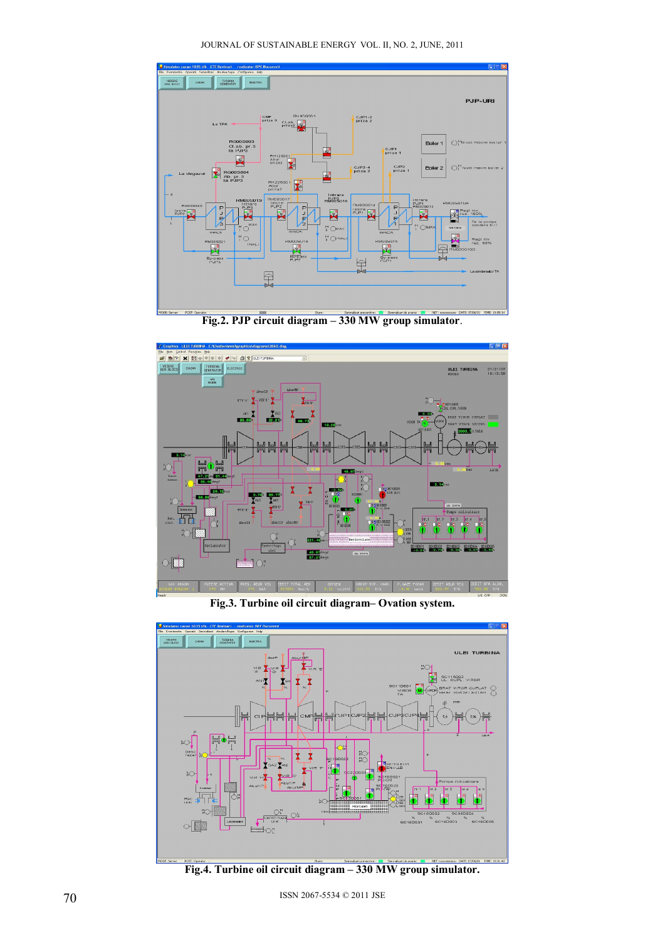JOURNAL OF SUSTAINABLE ENERGY VOL. II, NO. 2, JUNE, 2011







**Fig.3. Turbine oil circuit diagram– Ovation system.** 



**Fig.4. Turbine oil circuit diagram – 330 MW group simulator.**